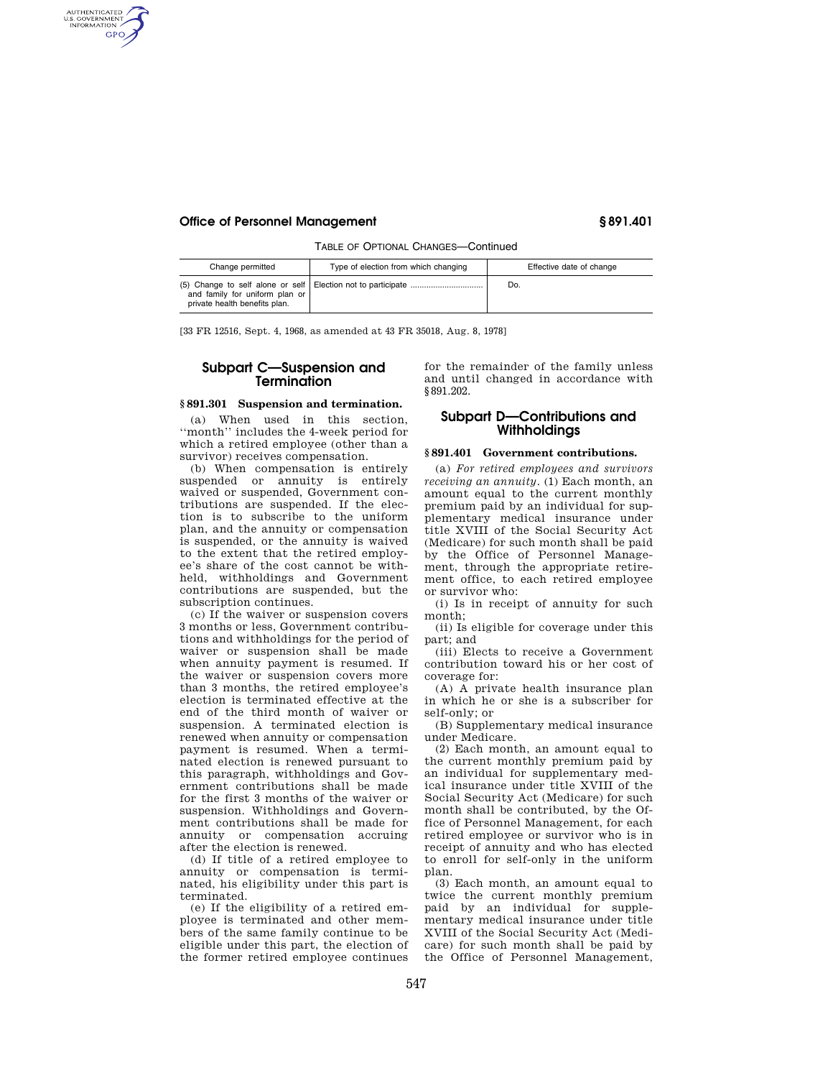#### **Office of Personnel Management § 891.401**

AUTHENTICATED<br>U.S. GOVERNMENT<br>INFORMATION **GPO** 

TABLE OF OPTIONAL CHANGES—Continued

| Change permitted                                                | Type of election from which changing | Effective date of change |
|-----------------------------------------------------------------|--------------------------------------|--------------------------|
| and family for uniform plan or<br>private health benefits plan. |                                      | Do.                      |

[33 FR 12516, Sept. 4, 1968, as amended at 43 FR 35018, Aug. 8, 1978]

# **Subpart C—Suspension and Termination**

#### **§ 891.301 Suspension and termination.**

(a) When used in this section, ''month'' includes the 4-week period for which a retired employee (other than a survivor) receives compensation.

(b) When compensation is entirely suspended or annuity is entirely waived or suspended, Government contributions are suspended. If the election is to subscribe to the uniform plan, and the annuity or compensation is suspended, or the annuity is waived to the extent that the retired employee's share of the cost cannot be withheld, withholdings and Government contributions are suspended, but the subscription continues.

(c) If the waiver or suspension covers 3 months or less, Government contributions and withholdings for the period of waiver or suspension shall be made when annuity payment is resumed. If the waiver or suspension covers more than 3 months, the retired employee's election is terminated effective at the end of the third month of waiver or suspension. A terminated election is renewed when annuity or compensation payment is resumed. When a terminated election is renewed pursuant to this paragraph, withholdings and Government contributions shall be made for the first 3 months of the waiver or suspension. Withholdings and Government contributions shall be made for annuity or compensation accruing after the election is renewed.

(d) If title of a retired employee to annuity or compensation is terminated, his eligibility under this part is terminated.

(e) If the eligibility of a retired employee is terminated and other members of the same family continue to be eligible under this part, the election of the former retired employee continues

for the remainder of the family unless and until changed in accordance with §891.202.

## **Subpart D—Contributions and Withholdings**

#### **§ 891.401 Government contributions.**

(a) *For retired employees and survivors receiving an annuity.* (1) Each month, an amount equal to the current monthly premium paid by an individual for supplementary medical insurance under title XVIII of the Social Security Act (Medicare) for such month shall be paid by the Office of Personnel Management, through the appropriate retirement office, to each retired employee or survivor who:

(i) Is in receipt of annuity for such month;

(ii) Is eligible for coverage under this part; and

(iii) Elects to receive a Government contribution toward his or her cost of coverage for:

(A) A private health insurance plan in which he or she is a subscriber for self-only; or

(B) Supplementary medical insurance under Medicare.

(2) Each month, an amount equal to the current monthly premium paid by an individual for supplementary medical insurance under title XVIII of the Social Security Act (Medicare) for such month shall be contributed, by the Office of Personnel Management, for each retired employee or survivor who is in receipt of annuity and who has elected to enroll for self-only in the uniform plan.

(3) Each month, an amount equal to twice the current monthly premium paid by an individual for supplementary medical insurance under title XVIII of the Social Security Act (Medicare) for such month shall be paid by the Office of Personnel Management,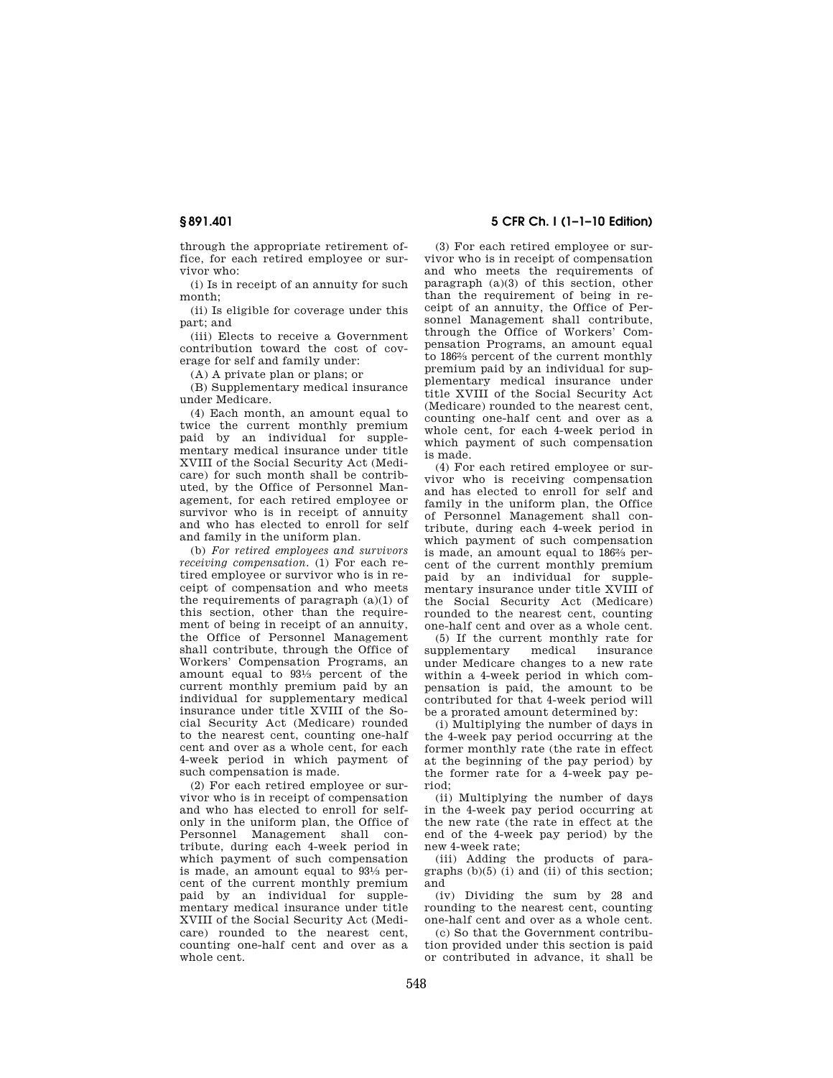through the appropriate retirement office, for each retired employee or survivor who:

(i) Is in receipt of an annuity for such month;

(ii) Is eligible for coverage under this part; and

(iii) Elects to receive a Government contribution toward the cost of coverage for self and family under:

(A) A private plan or plans; or

(B) Supplementary medical insurance under Medicare.

(4) Each month, an amount equal to twice the current monthly premium paid by an individual for supplementary medical insurance under title XVIII of the Social Security Act (Medicare) for such month shall be contributed, by the Office of Personnel Management, for each retired employee or survivor who is in receipt of annuity and who has elected to enroll for self and family in the uniform plan.

(b) *For retired employees and survivors receiving compensation.* (1) For each retired employee or survivor who is in receipt of compensation and who meets the requirements of paragraph  $(a)(1)$  of this section, other than the requirement of being in receipt of an annuity, the Office of Personnel Management shall contribute, through the Office of Workers' Compensation Programs, an amount equal to 931⁄3 percent of the current monthly premium paid by an individual for supplementary medical insurance under title XVIII of the Social Security Act (Medicare) rounded to the nearest cent, counting one-half cent and over as a whole cent, for each 4-week period in which payment of such compensation is made.

(2) For each retired employee or survivor who is in receipt of compensation and who has elected to enroll for selfonly in the uniform plan, the Office of Personnel Management shall contribute, during each 4-week period in which payment of such compensation is made, an amount equal to 931⁄3 percent of the current monthly premium paid by an individual for supplementary medical insurance under title XVIII of the Social Security Act (Medicare) rounded to the nearest cent, counting one-half cent and over as a whole cent.

# **§ 891.401 5 CFR Ch. I (1–1–10 Edition)**

(3) For each retired employee or survivor who is in receipt of compensation and who meets the requirements of paragraph (a)(3) of this section, other than the requirement of being in receipt of an annuity, the Office of Personnel Management shall contribute, through the Office of Workers' Compensation Programs, an amount equal to 1862⁄3 percent of the current monthly premium paid by an individual for supplementary medical insurance under title XVIII of the Social Security Act (Medicare) rounded to the nearest cent, counting one-half cent and over as a whole cent, for each 4-week period in which payment of such compensation is made.

(4) For each retired employee or survivor who is receiving compensation and has elected to enroll for self and family in the uniform plan, the Office of Personnel Management shall contribute, during each 4-week period in which payment of such compensation is made, an amount equal to 1862⁄3 percent of the current monthly premium paid by an individual for supplementary insurance under title XVIII of the Social Security Act (Medicare) rounded to the nearest cent, counting one-half cent and over as a whole cent.

(5) If the current monthly rate for supplementary medical insurance under Medicare changes to a new rate within a 4-week period in which compensation is paid, the amount to be contributed for that 4-week period will be a prorated amount determined by:

(i) Multiplying the number of days in the 4-week pay period occurring at the former monthly rate (the rate in effect at the beginning of the pay period) by the former rate for a 4-week pay period;

(ii) Multiplying the number of days in the 4-week pay period occurring at the new rate (the rate in effect at the end of the 4-week pay period) by the new 4-week rate;

(iii) Adding the products of paragraphs (b)(5) (i) and (ii) of this section; and

(iv) Dividing the sum by 28 and rounding to the nearest cent, counting one-half cent and over as a whole cent.

(c) So that the Government contribution provided under this section is paid or contributed in advance, it shall be